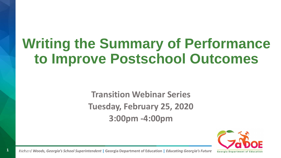# **Writing the Summary of Performance to Improve Postschool Outcomes**

**Transition Webinar Series Tuesday, February 25, 2020 3:00pm -4:00pm**



**1** *Richard Woods, Georgia's School Superintendent* **| Georgia Department of Education |** *Educating Georgia's Future*  3/27/2020 1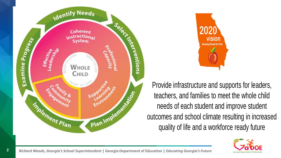



teachers, and families to meet the whole child needs of each student and improve student outcomes and school climate resulting in increased quality of life and a workforce ready future

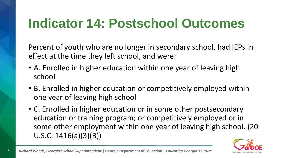### **Indicator 14: Postschool Outcomes**

Percent of youth who are no longer in secondary school, had IEPs in effect at the time they left school, and were:

- A. Enrolled in higher education within one year of leaving high school
- B. Enrolled in higher education or competitively employed within one year of leaving high school
- C. Enrolled in higher education or in some other postsecondary education or training program; or competitively employed or in some other employment within one year of leaving high school. (20 U.S.C. 1416(a)(3)(B))

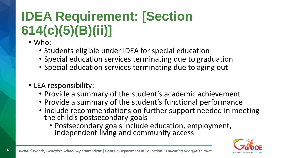## **IDEA Requirement: [Section 614(c)(5)(B)(ii)]**

- Who:
	- Students eligible under IDEA for special education
	- Special education services terminating due to graduation
	- Special education services terminating due to aging out
- LEA responsibility:
	- Provide a summary of the student's academic achievement
	- Provide a summary of the student's functional performance
	- Include recommendations on further support needed in meeting the child's postsecondary goals
		- Postsecondary goals include education, employment, independent living and community access

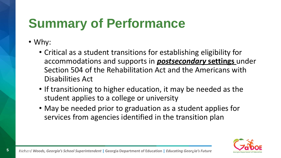## **Summary of Performance**

- Why:
	- Critical as a student transitions for establishing eligibility for accommodations and supports in *postsecondary* **settings** under Section 504 of the Rehabilitation Act and the Americans with Disabilities Act
	- If transitioning to higher education, it may be needed as the student applies to a college or university
	- May be needed prior to graduation as a student applies for services from agencies identified in the transition plan

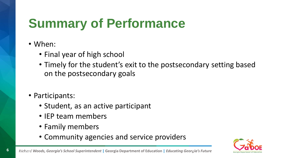## **Summary of Performance**

- When:
	- Final year of high school
	- Timely for the student's exit to the postsecondary setting based on the postsecondary goals
- Participants:
	- Student, as an active participant
	- IEP team members
	- Family members
	- Community agencies and service providers

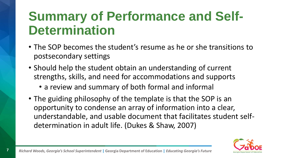## **Summary of Performance and Self-Determination**

- The SOP becomes the student's resume as he or she transitions to postsecondary settings
- Should help the student obtain an understanding of current strengths, skills, and need for accommodations and supports • a review and summary of both formal and informal
- The guiding philosophy of the template is that the SOP is an opportunity to condense an array of information into a clear, understandable, and usable document that facilitates student selfdetermination in adult life. (Dukes & Shaw, 2007)

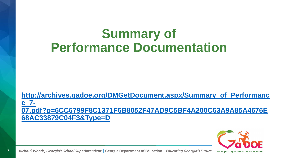### **Summary of Performance Documentation**

**http://archives.gadoe.org/DMGetDocument.aspx/Summary\_of\_Performanc e\_7- [07.pdf?p=6CC6799F8C1371F6B8052F47AD9C5BF4A200C63A9A85A4676E](http://archives.gadoe.org/DMGetDocument.aspx/Summary_of_Performance_7-07.pdf?p=6CC6799F8C1371F6B8052F47AD9C5BF4A200C63A9A85A4676E68AC33879C04F3&Type=D) 68AC33879C04F3&Type=D**



**8** *Richard Woods, Georgia's School Superintendent* **| Georgia Department of Education |** *Educating Georgia's Future*  3/27/2020 8

**Georgia Department of Ed**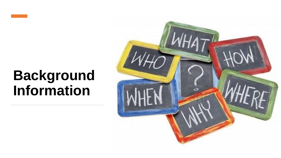## **Background Information**

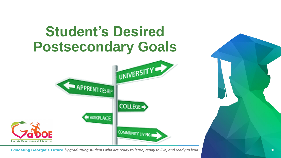

Educating Georgia's Future *by graduating students who are ready to learn, ready to live, and ready to lead.* **10**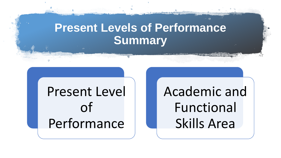#### **Present Levels of Performance Summary**



Academic and Functional Skills Area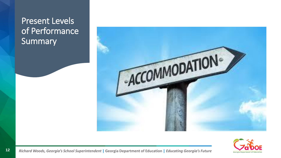#### Present Levels of Performance **Summary**



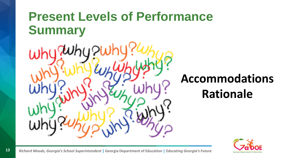### **Present Levels of Performance Summary**



### **Accommodations Rationale**



**13** *Richard Woods, Georgia's School Superintendent* **| Georgia Department of Education |** *Educating Georgia's Future*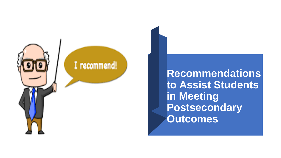

# I recommend!

**Recommendations to Assist Students in Meeting Postsecondary Outcomes**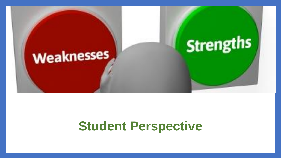

#### **Student Perspective**

**15** *Richard Woods, Georgia's School Superintendent* **| Georgia Department of Education |** *Educating Georgia's Future*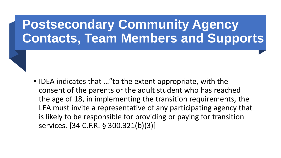#### **Postsecondary Community Agency Contacts, Team Members and Supports**

• IDEA indicates that …"to the extent appropriate, with the consent of the parents or the adult student who has reached the age of 18, in implementing the transition requirements, the LEA must invite a representative of any participating agency that is likely to be responsible for providing or paying for transition services. [34 C.F.R. § 300.321(b)(3)]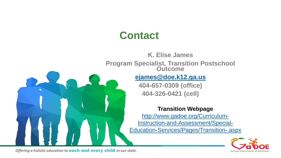#### **Contact**

**K. Elise James Program Specialist, Transition Postschool Outcome**

#### **[ejames@doe.k12.ga.us](mailto:ejames@doe.k12.ga.us)**

**404-657-0309 (office) 404-326-0421 (cell)**

#### **Transition Webpage**

http://www.gadoe.org/Curriculum-Instruction-and-Assessment/Special-[Education-Services/Pages/Transition-.aspx](http://www.gadoe.org/Curriculum-Instruction-and-Assessment/Special-Education-Services/Pages/Transition-.aspx)



*Offering a holistic education to* each and every child *in our state.*